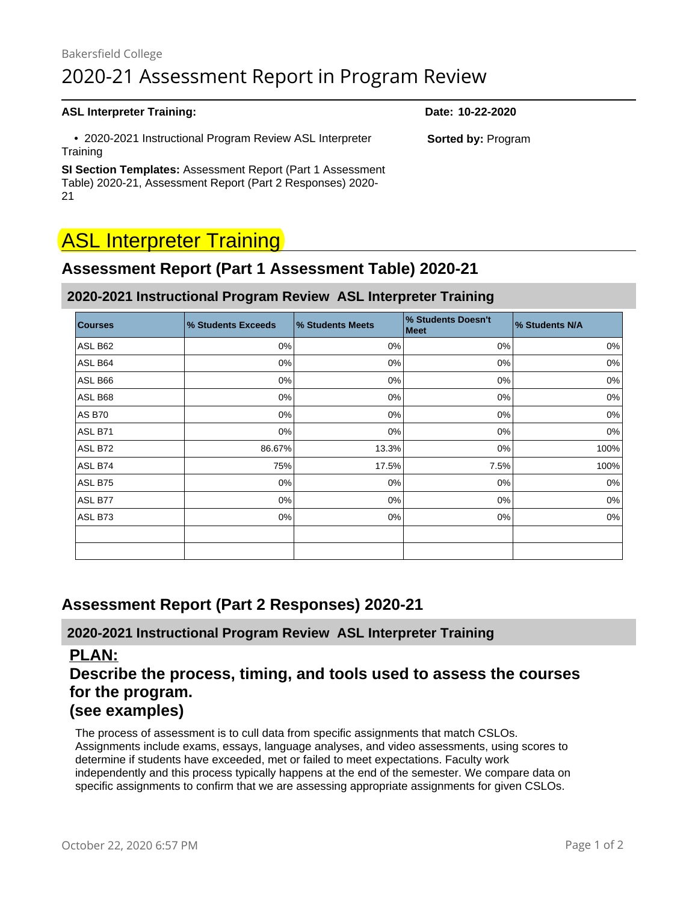# Bakersfield College 2020-21 Assessment Report in Program Review

#### **ASL Interpreter Training: Date: 10-22-2020**

 • 2020-2021 Instructional Program Review ASL Interpreter **Training** 

**SI Section Templates:** Assessment Report (Part 1 Assessment Table) 2020-21, Assessment Report (Part 2 Responses) 2020- 21

# **ASL Interpreter Training**

# **Assessment Report (Part 1 Assessment Table) 2020-21**

#### **2020-2021 Instructional Program Review ASL Interpreter Training**

| <b>Courses</b> | % Students Exceeds | <b>% Students Meets</b> | % Students Doesn't<br><b>Meet</b> | % Students N/A |
|----------------|--------------------|-------------------------|-----------------------------------|----------------|
| ASL B62        | 0%                 | 0%                      | $0\%$                             | 0%             |
| ASL B64        | 0%                 | 0%                      | $0\%$                             | 0%             |
| ASL B66        | 0%                 | 0%                      | 0%                                | 0%             |
| ASL B68        | 0%                 | 0%                      | $0\%$                             | 0%             |
| <b>AS B70</b>  | 0%                 | 0%                      | 0%                                | $0\%$          |
| ASL B71        | $0\%$              | 0%                      | $0\%$                             | 0%             |
| ASL B72        | 86.67%             | 13.3%                   | $0\%$                             | 100%           |
| ASL B74        | 75%                | 17.5%                   | 7.5%                              | 100%           |
| ASL B75        | 0%                 | 0%                      | 0%                                | 0%             |
| ASL B77        | 0%                 | 0%                      | $0\%$                             | 0%             |
| ASL B73        | 0%                 | 0%                      | 0%                                | 0%             |
|                |                    |                         |                                   |                |
|                |                    |                         |                                   |                |

# **Assessment Report (Part 2 Responses) 2020-21**

#### **2020-2021 Instructional Program Review ASL Interpreter Training**

#### **PLAN:**

# **Describe the process, timing, and tools used to assess the courses for the program.**

# **([see examples\)](https://committees.kccd.edu/sites/committees.kccd.edu/files/AssessmentReport-Plan.pdf)**

The process of assessment is to cull data from specific assignments that match CSLOs. Assignments include exams, essays, language analyses, and video assessments, using scores to determine if students have exceeded, met or failed to meet expectations. Faculty work independently and this process typically happens at the end of the semester. We compare data on specific assignments to confirm that we are assessing appropriate assignments for given CSLOs.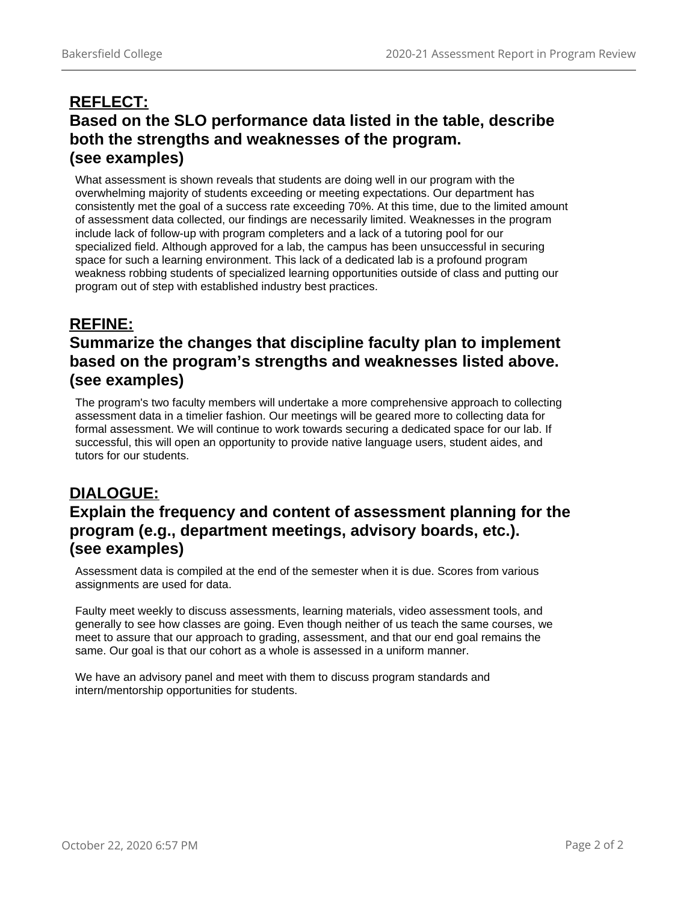# **REFLECT: Based on the SLO performance data listed in the table, describe both the strengths and weaknesses of the program. ([see examples\)](https://committees.kccd.edu/sites/committees.kccd.edu/files/AssessmentReport-Reflect.pdf)**

What assessment is shown reveals that students are doing well in our program with the overwhelming majority of students exceeding or meeting expectations. Our department has consistently met the goal of a success rate exceeding 70%. At this time, due to the limited amount of assessment data collected, our findings are necessarily limited. Weaknesses in the program include lack of follow-up with program completers and a lack of a tutoring pool for our specialized field. Although approved for a lab, the campus has been unsuccessful in securing space for such a learning environment. This lack of a dedicated lab is a profound program weakness robbing students of specialized learning opportunities outside of class and putting our program out of step with established industry best practices.

# **REFINE:**

# **Summarize the changes that discipline faculty plan to implement based on the program's strengths and weaknesses listed above. ([see examples\)](https://committees.kccd.edu/sites/committees.kccd.edu/files/AssessmentReport-Refine_0.pdf)**

The program's two faculty members will undertake a more comprehensive approach to collecting assessment data in a timelier fashion. Our meetings will be geared more to collecting data for formal assessment. We will continue to work towards securing a dedicated space for our lab. If successful, this will open an opportunity to provide native language users, student aides, and tutors for our students.

# **DIALOGUE: Explain the frequency and content of assessment planning for the program (e.g., department meetings, advisory boards, etc.). ([see examples\)](https://committees.kccd.edu/sites/committees.kccd.edu/files/AssessmentReport-Dialogue.pdf)**

Assessment data is compiled at the end of the semester when it is due. Scores from various assignments are used for data.

Faulty meet weekly to discuss assessments, learning materials, video assessment tools, and generally to see how classes are going. Even though neither of us teach the same courses, we meet to assure that our approach to grading, assessment, and that our end goal remains the same. Our goal is that our cohort as a whole is assessed in a uniform manner.

We have an advisory panel and meet with them to discuss program standards and intern/mentorship opportunities for students.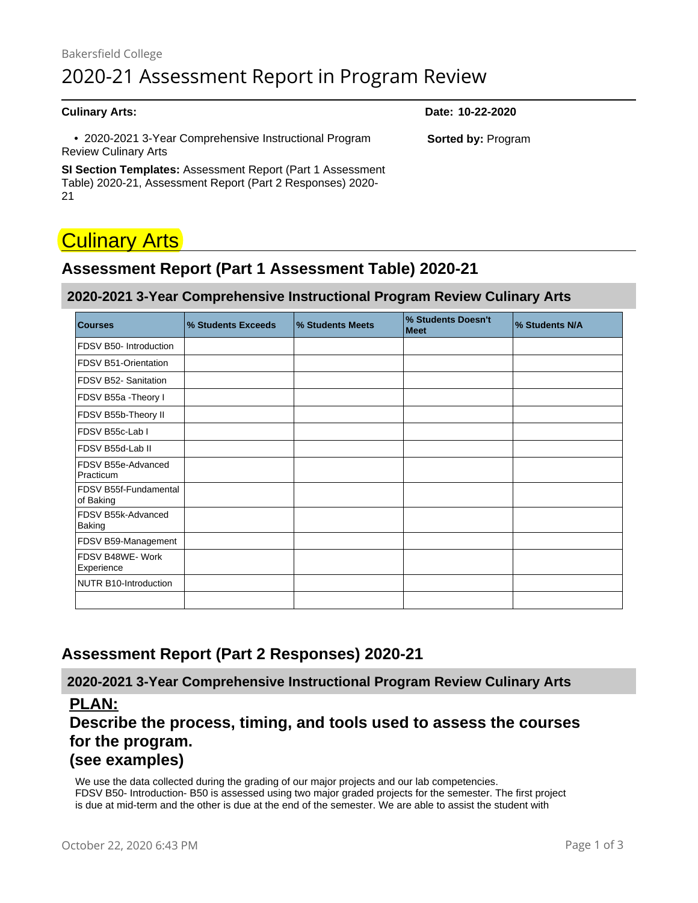• 2020-2021 3-Year Comprehensive Instructional Program Review Culinary Arts

**SI Section Templates:** Assessment Report (Part 1 Assessment Table) 2020-21, Assessment Report (Part 2 Responses) 2020- 21

# **Culinary Arts**

# **Assessment Report (Part 1 Assessment Table) 2020-21**

#### **2020-2021 3-Year Comprehensive Instructional Program Review Culinary Arts**

| <b>Courses</b>                      | % Students Exceeds | % Students Meets | % Students Doesn't<br><b>Meet</b> | % Students N/A |
|-------------------------------------|--------------------|------------------|-----------------------------------|----------------|
| FDSV B50- Introduction              |                    |                  |                                   |                |
| FDSV B51-Orientation                |                    |                  |                                   |                |
| FDSV B52- Sanitation                |                    |                  |                                   |                |
| FDSV B55a - Theory I                |                    |                  |                                   |                |
| FDSV B55b-Theory II                 |                    |                  |                                   |                |
| FDSV B55c-Lab I                     |                    |                  |                                   |                |
| FDSV B55d-Lab II                    |                    |                  |                                   |                |
| FDSV B55e-Advanced<br>Practicum     |                    |                  |                                   |                |
| FDSV B55f-Fundamental<br>of Baking  |                    |                  |                                   |                |
| FDSV B55k-Advanced<br><b>Baking</b> |                    |                  |                                   |                |
| FDSV B59-Management                 |                    |                  |                                   |                |
| FDSV B48WE-Work<br>Experience       |                    |                  |                                   |                |
| NUTR B10-Introduction               |                    |                  |                                   |                |
|                                     |                    |                  |                                   |                |

# **Assessment Report (Part 2 Responses) 2020-21**

**2020-2021 3-Year Comprehensive Instructional Program Review Culinary Arts**

### **PLAN:**

# **Describe the process, timing, and tools used to assess the courses for the program.**

# **([see examples\)](https://committees.kccd.edu/sites/committees.kccd.edu/files/AssessmentReport-Plan.pdf)**

We use the data collected during the grading of our major projects and our lab competencies. FDSV B50- Introduction- B50 is assessed using two major graded projects for the semester. The first project is due at mid-term and the other is due at the end of the semester. We are able to assist the student with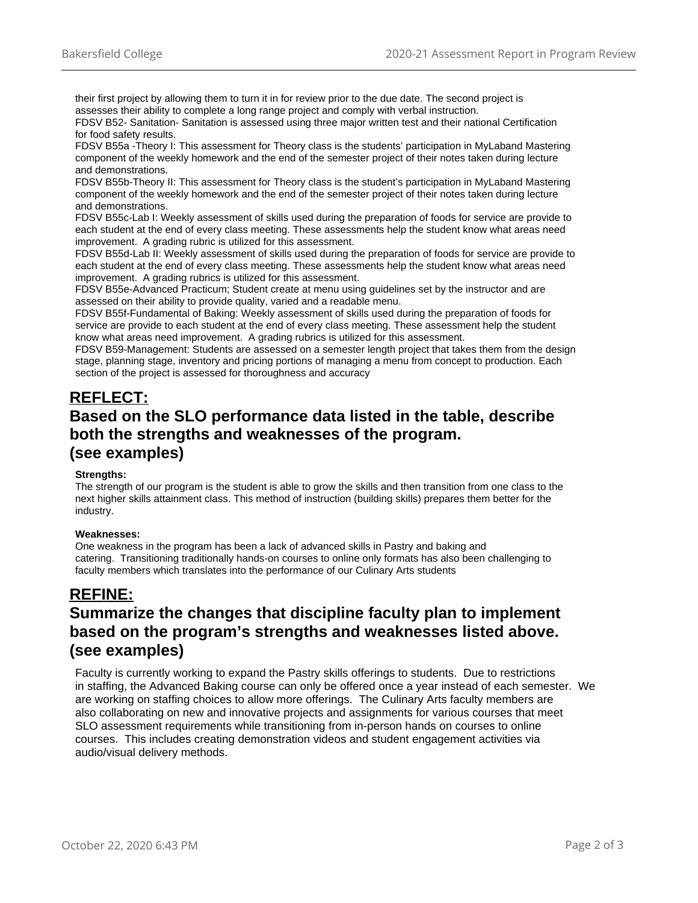their first project by allowing them to turn it in for review prior to the due date. The second project is assesses their ability to complete a long range project and comply with verbal instruction. FDSV B52- Sanitation- Sanitation is assessed using three major written test and their national Certification

for food safety results.

FDSV B55a -Theory I: This assessment for Theory class is the students' participation in MyLaband Mastering component of the weekly homework and the end of the semester project of their notes taken during lecture and demonstrations.

FDSV B55b-Theory II: This assessment for Theory class is the student's participation in MyLaband Mastering component of the weekly homework and the end of the semester project of their notes taken during lecture and demonstrations.

FDSV B55c-Lab I: Weekly assessment of skills used during the preparation of foods for service are provide to each student at the end of every class meeting. These assessments help the student know what areas need improvement. A grading rubric is utilized for this assessment.

FDSV B55d-Lab II: Weekly assessment of skills used during the preparation of foods for service are provide to each student at the end of every class meeting. These assessments help the student know what areas need improvement. A grading rubrics is utilized for this assessment.

FDSV B55e-Advanced Practicum; Student create at menu using guidelines set by the instructor and are assessed on their ability to provide quality, varied and a readable menu.

FDSV B55f-Fundamental of Baking: Weekly assessment of skills used during the preparation of foods for service are provide to each student at the end of every class meeting. These assessment help the student know what areas need improvement. A grading rubrics is utilized for this assessment.

FDSV B59-Management: Students are assessed on a semester length project that takes them from the design stage, planning stage, inventory and pricing portions of managing a menu from concept to production. Each section of the project is assessed for thoroughness and accuracy

# **REFLECT: Based on the SLO performance data listed in the table, describe both the strengths and weaknesses of the program. ([see examples\)](https://committees.kccd.edu/sites/committees.kccd.edu/files/AssessmentReport-Reflect.pdf)**

#### **Strengths:**

The strength of our program is the student is able to grow the skills and then transition from one class to the next higher skills attainment class. This method of instruction (building skills) prepares them better for the industry.

#### **Weaknesses:**

One weakness in the program has been a lack of advanced skills in Pastry and baking and catering. Transitioning traditionally hands-on courses to online only formats has also been challenging to faculty members which translates into the performance of our Culinary Arts students

## **REFINE: Summarize the changes that discipline faculty plan to implement based on the program's strengths and weaknesses listed above. ([see examples\)](https://committees.kccd.edu/sites/committees.kccd.edu/files/AssessmentReport-Refine_0.pdf)**

Faculty is currently working to expand the Pastry skills offerings to students. Due to restrictions in staffing, the Advanced Baking course can only be offered once a year instead of each semester. We are working on staffing choices to allow more offerings. The Culinary Arts faculty members are also collaborating on new and innovative projects and assignments for various courses that meet SLO assessment requirements while transitioning from in-person hands on courses to online courses. This includes creating demonstration videos and student engagement activities via audio/visual delivery methods.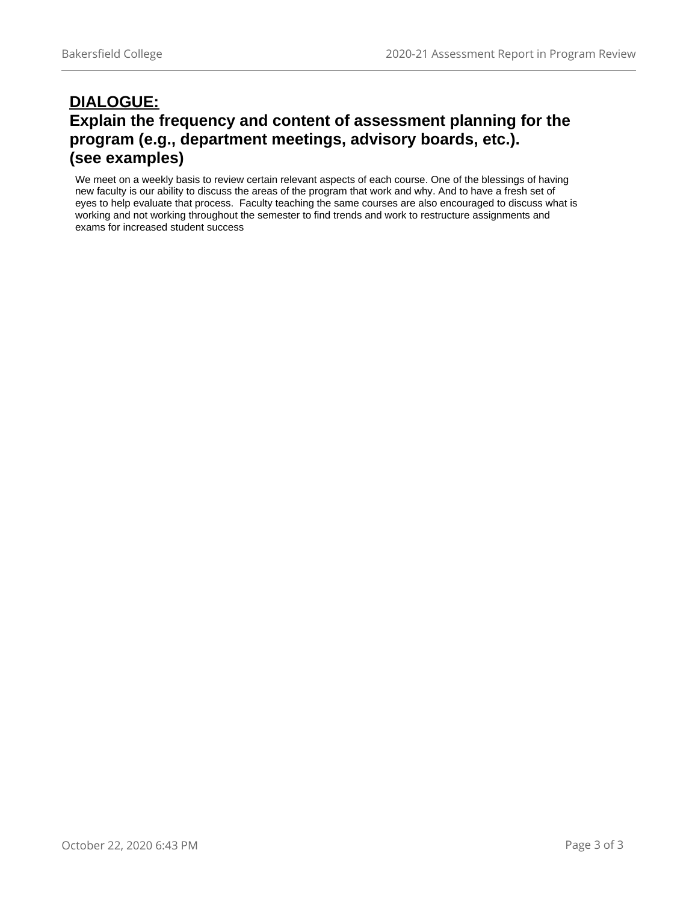# **DIALOGUE: Explain the frequency and content of assessment planning for the program (e.g., department meetings, advisory boards, etc.). ([see examples\)](https://committees.kccd.edu/sites/committees.kccd.edu/files/AssessmentReport-Dialogue.pdf)**

We meet on a weekly basis to review certain relevant aspects of each course. One of the blessings of having new faculty is our ability to discuss the areas of the program that work and why. And to have a fresh set of eyes to help evaluate that process. Faculty teaching the same courses are also encouraged to discuss what is working and not working throughout the semester to find trends and work to restructure assignments and exams for increased student success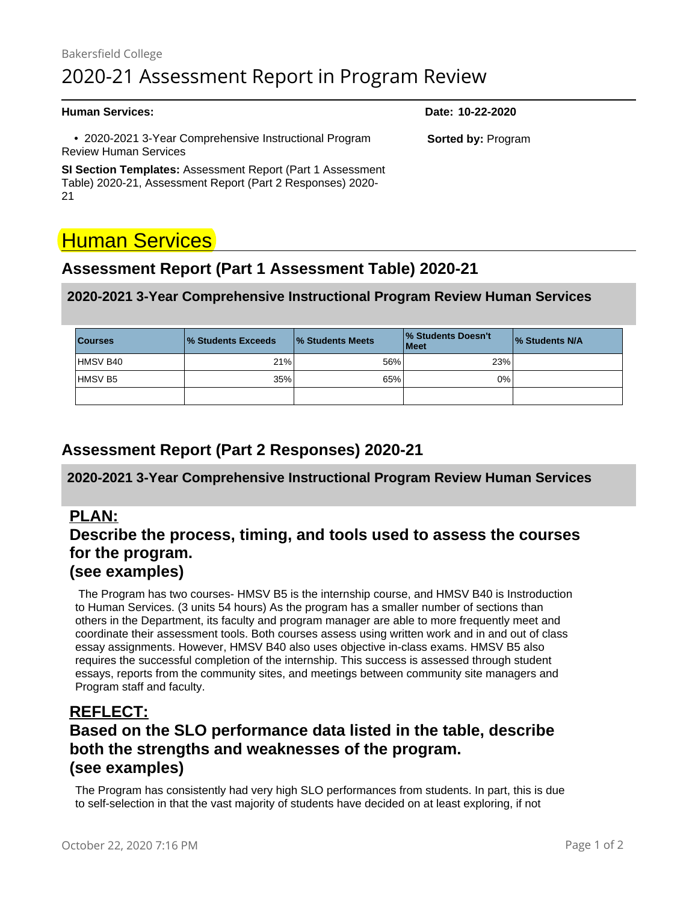# Bakersfield College 2020-21 Assessment Report in Program Review

 • 2020-2021 3-Year Comprehensive Instructional Program Review Human Services

**SI Section Templates:** Assessment Report (Part 1 Assessment Table) 2020-21, Assessment Report (Part 2 Responses) 2020- 21

# Human Services

# **Assessment Report (Part 1 Assessment Table) 2020-21**

#### **2020-2021 3-Year Comprehensive Instructional Program Review Human Services**

| <b>Courses</b> | <b>1% Students Exceeds</b> | <b>1% Students Meets</b> | <b>1% Students Doesn't</b><br><b>I</b> Meet | 1% Students N/A |
|----------------|----------------------------|--------------------------|---------------------------------------------|-----------------|
| HMSV B40       | 21%                        | 56%                      | 23%                                         |                 |
| IHMSV B5       | 35%                        | 65%                      | $0\%$                                       |                 |
|                |                            |                          |                                             |                 |

# **Assessment Report (Part 2 Responses) 2020-21**

#### **2020-2021 3-Year Comprehensive Instructional Program Review Human Services**

### **PLAN:**

# **Describe the process, timing, and tools used to assess the courses for the program.**

### **([see examples\)](https://committees.kccd.edu/sites/committees.kccd.edu/files/AssessmentReport-Plan.pdf)**

 The Program has two courses- HMSV B5 is the internship course, and HMSV B40 is Instroduction to Human Services. (3 units 54 hours) As the program has a smaller number of sections than others in the Department, its faculty and program manager are able to more frequently meet and coordinate their assessment tools. Both courses assess using written work and in and out of class essay assignments. However, HMSV B40 also uses objective in-class exams. HMSV B5 also requires the successful completion of the internship. This success is assessed through student essays, reports from the community sites, and meetings between community site managers and Program staff and faculty.

### **REFLECT:**

# **Based on the SLO performance data listed in the table, describe both the strengths and weaknesses of the program. ([see examples\)](https://committees.kccd.edu/sites/committees.kccd.edu/files/AssessmentReport-Reflect.pdf)**

The Program has consistently had very high SLO performances from students. In part, this is due to self-selection in that the vast majority of students have decided on at least exploring, if not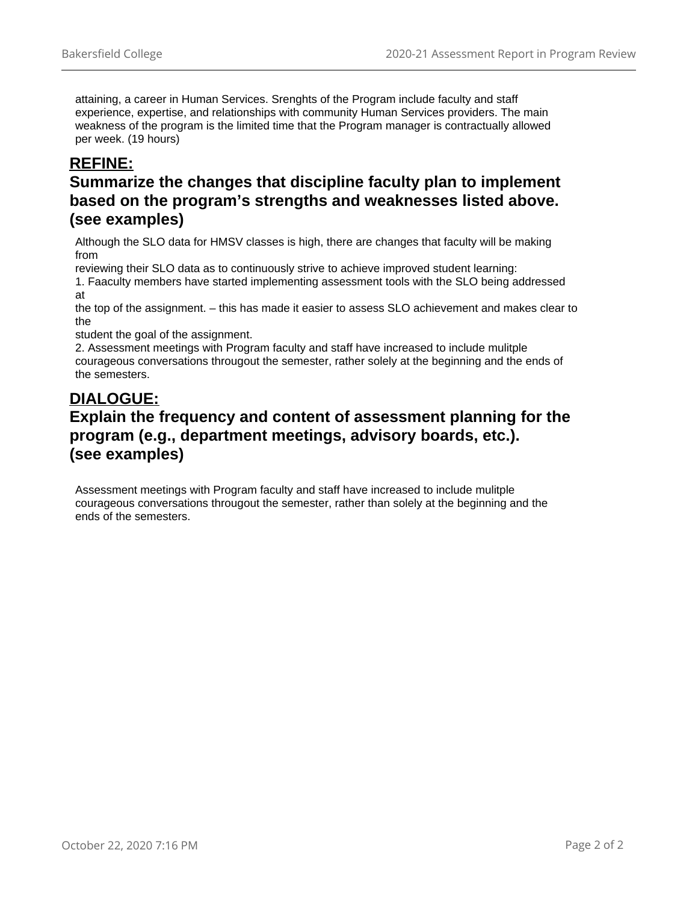attaining, a career in Human Services. Srenghts of the Program include faculty and staff experience, expertise, and relationships with community Human Services providers. The main weakness of the program is the limited time that the Program manager is contractually allowed per week. (19 hours)

# **REFINE:**

# **Summarize the changes that discipline faculty plan to implement based on the program's strengths and weaknesses listed above. ([see examples\)](https://committees.kccd.edu/sites/committees.kccd.edu/files/AssessmentReport-Refine_0.pdf)**

Although the SLO data for HMSV classes is high, there are changes that faculty will be making from

reviewing their SLO data as to continuously strive to achieve improved student learning:

1. Faaculty members have started implementing assessment tools with the SLO being addressed at

the top of the assignment. – this has made it easier to assess SLO achievement and makes clear to the

student the goal of the assignment.

2. Assessment meetings with Program faculty and staff have increased to include mulitple courageous conversations througout the semester, rather solely at the beginning and the ends of the semesters.

# **DIALOGUE:**

# **Explain the frequency and content of assessment planning for the program (e.g., department meetings, advisory boards, etc.). ([see examples\)](https://committees.kccd.edu/sites/committees.kccd.edu/files/AssessmentReport-Dialogue.pdf)**

Assessment meetings with Program faculty and staff have increased to include mulitple courageous conversations througout the semester, rather than solely at the beginning and the ends of the semesters.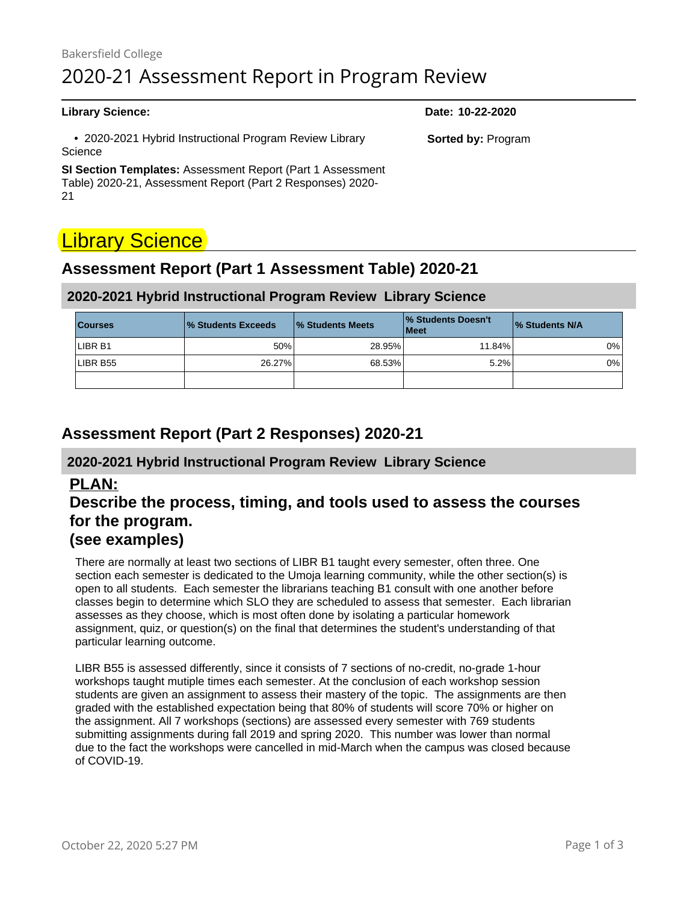• 2020-2021 Hybrid Instructional Program Review Library **Science** 

**SI Section Templates:** Assessment Report (Part 1 Assessment Table) 2020-21, Assessment Report (Part 2 Responses) 2020- 21

# **Library Science**

# **Assessment Report (Part 1 Assessment Table) 2020-21**

#### **2020-2021 Hybrid Instructional Program Review Library Science**

| <b>Courses</b> | <b>1% Students Exceeds</b> | <b>1% Students Meets</b> | <b>1% Students Doesn't</b><br>  Meet | 1% Students N/A |
|----------------|----------------------------|--------------------------|--------------------------------------|-----------------|
| LIBR B1        | 50%                        | 28.95%                   | 11.84%                               | 0%              |
| LIBR B55       | 26.27%                     | 68.53%                   | 5.2%                                 | $0\%$           |
|                |                            |                          |                                      |                 |

# **Assessment Report (Part 2 Responses) 2020-21**

#### **2020-2021 Hybrid Instructional Program Review Library Science**

### **PLAN:**

# **Describe the process, timing, and tools used to assess the courses for the program.**

# **([see examples\)](https://committees.kccd.edu/sites/committees.kccd.edu/files/AssessmentReport-Plan.pdf)**

There are normally at least two sections of LIBR B1 taught every semester, often three. One section each semester is dedicated to the Umoja learning community, while the other section(s) is open to all students. Each semester the librarians teaching B1 consult with one another before classes begin to determine which SLO they are scheduled to assess that semester. Each librarian assesses as they choose, which is most often done by isolating a particular homework assignment, quiz, or question(s) on the final that determines the student's understanding of that particular learning outcome.

LIBR B55 is assessed differently, since it consists of 7 sections of no-credit, no-grade 1-hour workshops taught mutiple times each semester. At the conclusion of each workshop session students are given an assignment to assess their mastery of the topic. The assignments are then graded with the established expectation being that 80% of students will score 70% or higher on the assignment. All 7 workshops (sections) are assessed every semester with 769 students submitting assignments during fall 2019 and spring 2020. This number was lower than normal due to the fact the workshops were cancelled in mid-March when the campus was closed because of COVID-19.

#### **Library Science: Date: 10-22-2020**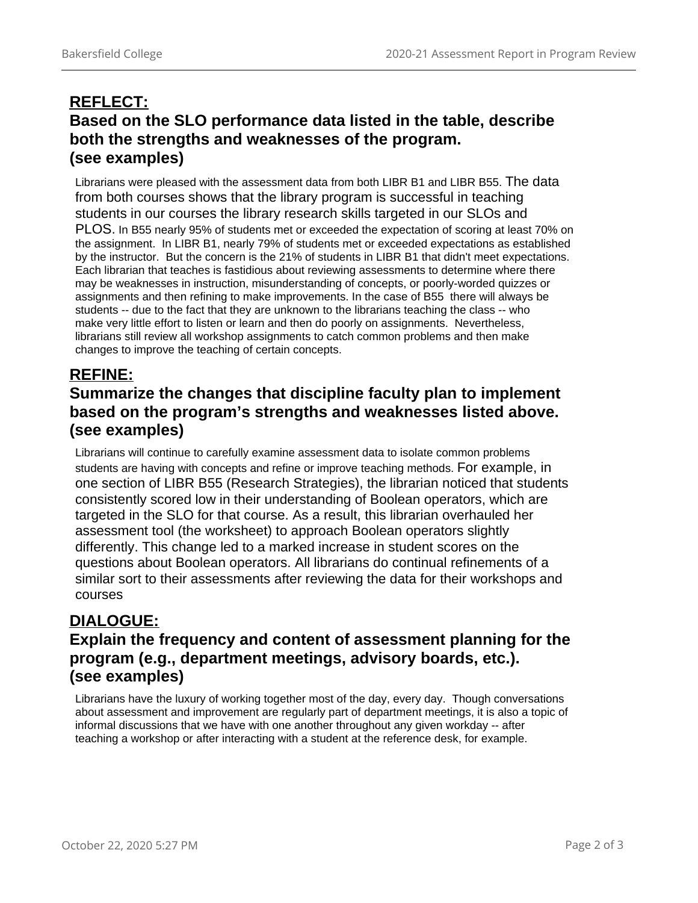# **REFLECT: Based on the SLO performance data listed in the table, describe both the strengths and weaknesses of the program. ([see examples\)](https://committees.kccd.edu/sites/committees.kccd.edu/files/AssessmentReport-Reflect.pdf)**

Librarians were pleased with the assessment data from both LIBR B1 and LIBR B55. The data from both courses shows that the library program is successful in teaching students in our courses the library research skills targeted in our SLOs and PLOS. In B55 nearly 95% of students met or exceeded the expectation of scoring at least 70% on the assignment. In LIBR B1, nearly 79% of students met or exceeded expectations as established by the instructor. But the concern is the 21% of students in LIBR B1 that didn't meet expectations. Each librarian that teaches is fastidious about reviewing assessments to determine where there may be weaknesses in instruction, misunderstanding of concepts, or poorly-worded quizzes or assignments and then refining to make improvements. In the case of B55 there will always be students -- due to the fact that they are unknown to the librarians teaching the class -- who make very little effort to listen or learn and then do poorly on assignments. Nevertheless, librarians still review all workshop assignments to catch common problems and then make changes to improve the teaching of certain concepts.

# **REFINE:**

# **Summarize the changes that discipline faculty plan to implement based on the program's strengths and weaknesses listed above. ([see examples\)](https://committees.kccd.edu/sites/committees.kccd.edu/files/AssessmentReport-Refine_0.pdf)**

Librarians will continue to carefully examine assessment data to isolate common problems students are having with concepts and refine or improve teaching methods. For example, in one section of LIBR B55 (Research Strategies), the librarian noticed that students consistently scored low in their understanding of Boolean operators, which are targeted in the SLO for that course. As a result, this librarian overhauled her assessment tool (the worksheet) to approach Boolean operators slightly differently. This change led to a marked increase in student scores on the questions about Boolean operators. All librarians do continual refinements of a similar sort to their assessments after reviewing the data for their workshops and courses

# **DIALOGUE: Explain the frequency and content of assessment planning for the program (e.g., department meetings, advisory boards, etc.). ([see examples\)](https://committees.kccd.edu/sites/committees.kccd.edu/files/AssessmentReport-Dialogue.pdf)**

Librarians have the luxury of working together most of the day, every day. Though conversations about assessment and improvement are regularly part of department meetings, it is also a topic of informal discussions that we have with one another throughout any given workday -- after teaching a workshop or after interacting with a student at the reference desk, for example.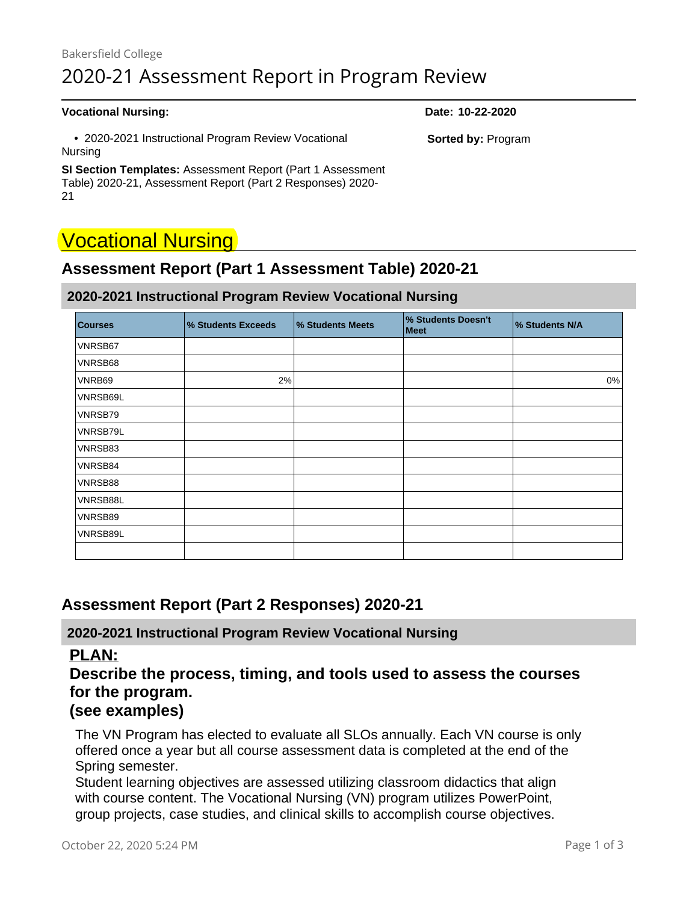# Bakersfield College 2020-21 Assessment Report in Program Review

#### **Vocational Nursing: Date: 10-22-2020**

 • 2020-2021 Instructional Program Review Vocational Nursing

**SI Section Templates:** Assessment Report (Part 1 Assessment Table) 2020-21, Assessment Report (Part 2 Responses) 2020- 21

# Vocational Nursing

# **Assessment Report (Part 1 Assessment Table) 2020-21**

**2020-2021 Instructional Program Review Vocational Nursing**

| <b>Courses</b> | % Students Exceeds | % Students Meets | % Students Doesn't<br>Meet | % Students N/A |
|----------------|--------------------|------------------|----------------------------|----------------|
| VNRSB67        |                    |                  |                            |                |
| VNRSB68        |                    |                  |                            |                |
| VNRB69         | 2%                 |                  |                            | 0%             |
| VNRSB69L       |                    |                  |                            |                |
| VNRSB79        |                    |                  |                            |                |
| VNRSB79L       |                    |                  |                            |                |
| VNRSB83        |                    |                  |                            |                |
| VNRSB84        |                    |                  |                            |                |
| VNRSB88        |                    |                  |                            |                |
| VNRSB88L       |                    |                  |                            |                |
| VNRSB89        |                    |                  |                            |                |
| VNRSB89L       |                    |                  |                            |                |
|                |                    |                  |                            |                |

# **Assessment Report (Part 2 Responses) 2020-21**

**2020-2021 Instructional Program Review Vocational Nursing**

#### **PLAN:**

**Describe the process, timing, and tools used to assess the courses for the program.**

### **([see examples\)](https://committees.kccd.edu/sites/committees.kccd.edu/files/AssessmentReport-Plan.pdf)**

The VN Program has elected to evaluate all SLOs annually. Each VN course is only offered once a year but all course assessment data is completed at the end of the Spring semester.

Student learning objectives are assessed utilizing classroom didactics that align with course content. The Vocational Nursing (VN) program utilizes PowerPoint, group projects, case studies, and clinical skills to accomplish course objectives.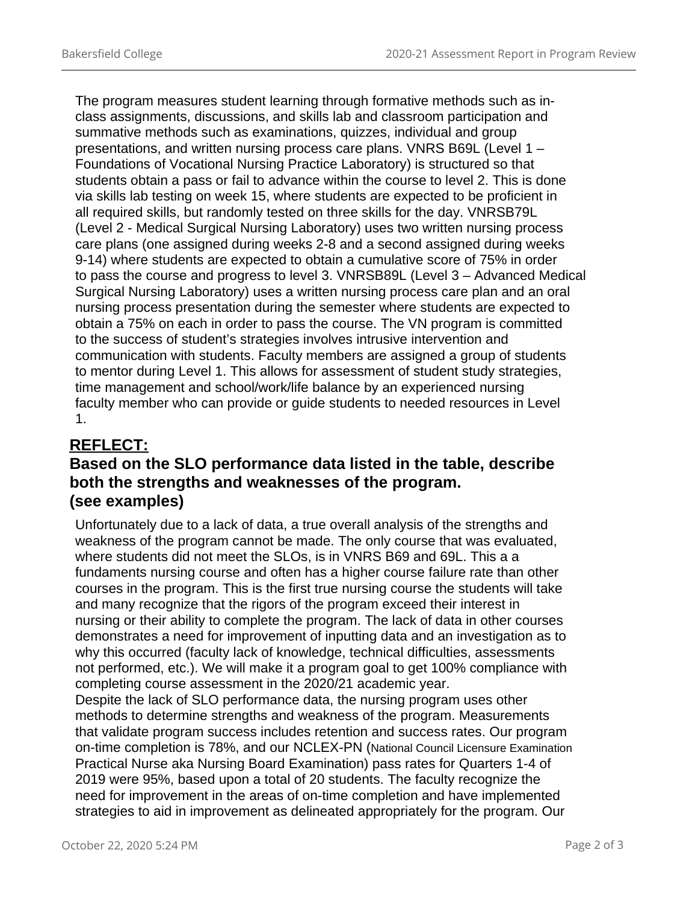The program measures student learning through formative methods such as inclass assignments, discussions, and skills lab and classroom participation and summative methods such as examinations, quizzes, individual and group presentations, and written nursing process care plans. VNRS B69L (Level 1 – Foundations of Vocational Nursing Practice Laboratory) is structured so that students obtain a pass or fail to advance within the course to level 2. This is done via skills lab testing on week 15, where students are expected to be proficient in all required skills, but randomly tested on three skills for the day. VNRSB79L (Level 2 - Medical Surgical Nursing Laboratory) uses two written nursing process care plans (one assigned during weeks 2-8 and a second assigned during weeks 9-14) where students are expected to obtain a cumulative score of 75% in order to pass the course and progress to level 3. VNRSB89L (Level 3 – Advanced Medical Surgical Nursing Laboratory) uses a written nursing process care plan and an oral nursing process presentation during the semester where students are expected to obtain a 75% on each in order to pass the course. The VN program is committed to the success of student's strategies involves intrusive intervention and communication with students. Faculty members are assigned a group of students to mentor during Level 1. This allows for assessment of student study strategies, time management and school/work/life balance by an experienced nursing faculty member who can provide or guide students to needed resources in Level 1.

# **REFLECT:**

# **Based on the SLO performance data listed in the table, describe both the strengths and weaknesses of the program. ([see examples\)](https://committees.kccd.edu/sites/committees.kccd.edu/files/AssessmentReport-Reflect.pdf)**

Unfortunately due to a lack of data, a true overall analysis of the strengths and weakness of the program cannot be made. The only course that was evaluated, where students did not meet the SLOs, is in VNRS B69 and 69L. This a a fundaments nursing course and often has a higher course failure rate than other courses in the program. This is the first true nursing course the students will take and many recognize that the rigors of the program exceed their interest in nursing or their ability to complete the program. The lack of data in other courses demonstrates a need for improvement of inputting data and an investigation as to why this occurred (faculty lack of knowledge, technical difficulties, assessments not performed, etc.). We will make it a program goal to get 100% compliance with completing course assessment in the 2020/21 academic year. Despite the lack of SLO performance data, the nursing program uses other methods to determine strengths and weakness of the program. Measurements

that validate program success includes retention and success rates. Our program on-time completion is 78%, and our NCLEX-PN (National Council Licensure Examination Practical Nurse aka Nursing Board Examination) pass rates for Quarters 1-4 of 2019 were 95%, based upon a total of 20 students. The faculty recognize the need for improvement in the areas of on-time completion and have implemented strategies to aid in improvement as delineated appropriately for the program. Our